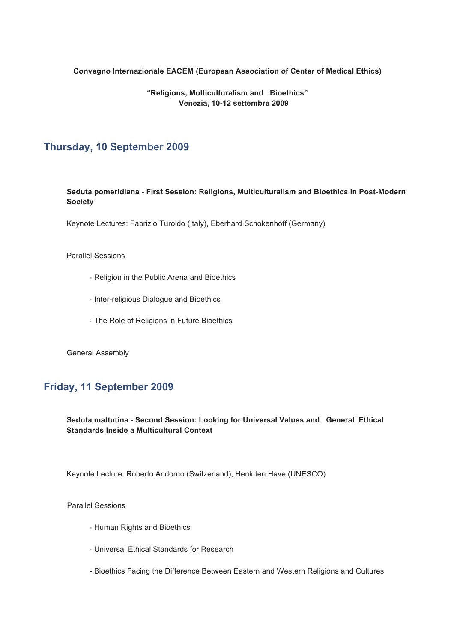#### **Convegno Internazionale EACEM (European Association of Center of Medical Ethics)**

### **"Religions, Multiculturalism and Bioethics" Venezia, 10-12 settembre 2009**

# **Thursday, 10 September 2009**

**Seduta pomeridiana - First Session: Religions, Multiculturalism and Bioethics in Post-Modern Society**

Keynote Lectures: Fabrizio Turoldo (Italy), Eberhard Schokenhoff (Germany)

### Parallel Sessions

- Religion in the Public Arena and Bioethics
- Inter-religious Dialogue and Bioethics
- The Role of Religions in Future Bioethics

General Assembly

### **Friday, 11 September 2009**

### **Seduta mattutina - Second Session: Looking for Universal Values and General Ethical Standards Inside a Multicultural Context**

Keynote Lecture: Roberto Andorno (Switzerland), Henk ten Have (UNESCO)

Parallel Sessions

- Human Rights and Bioethics
- Universal Ethical Standards for Research
- Bioethics Facing the Difference Between Eastern and Western Religions and Cultures